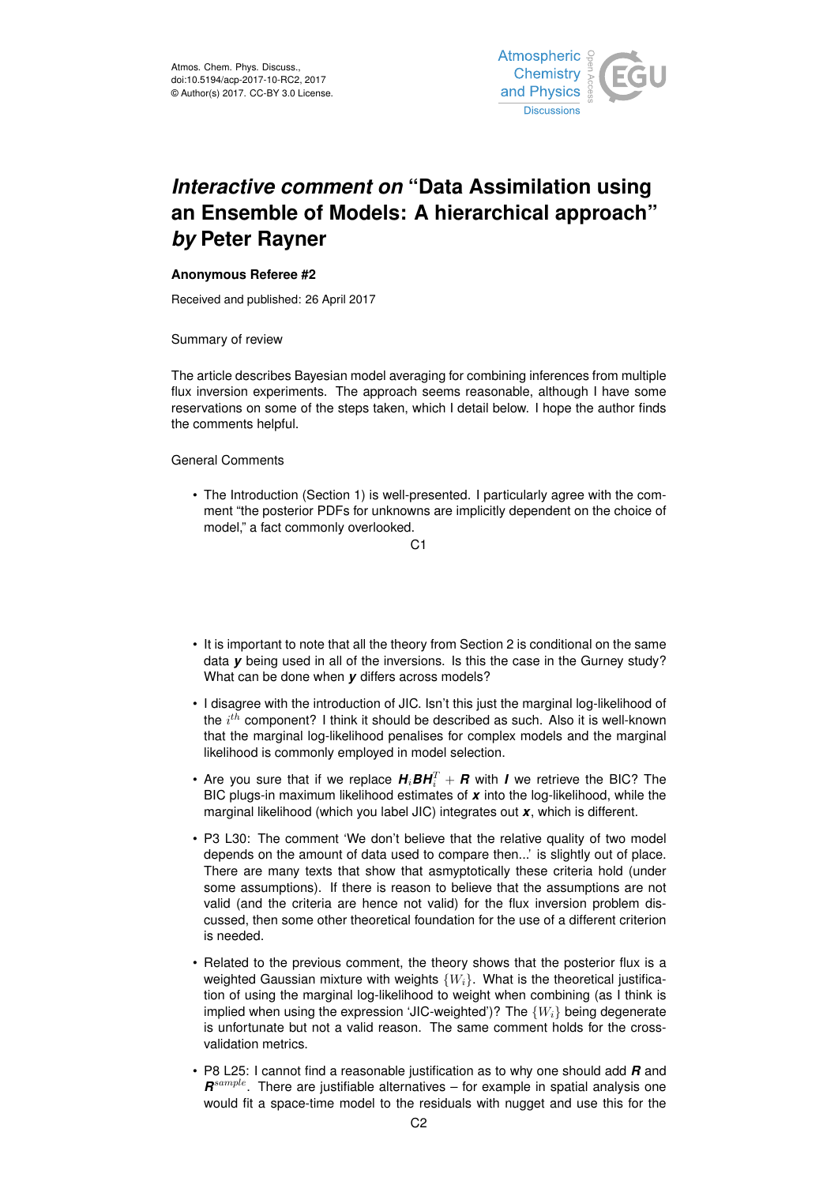

## *Interactive comment on* **"Data Assimilation using an Ensemble of Models: A hierarchical approach"** *by* **Peter Rayner**

## **Anonymous Referee #2**

Received and published: 26 April 2017

Summary of review

The article describes Bayesian model averaging for combining inferences from multiple flux inversion experiments. The approach seems reasonable, although I have some reservations on some of the steps taken, which I detail below. I hope the author finds the comments helpful.

General Comments

• The Introduction (Section 1) is well-presented. I particularly agree with the comment "the posterior PDFs for unknowns are implicitly dependent on the choice of model," a fact commonly overlooked.

C1

- It is important to note that all the theory from Section 2 is conditional on the same data *y* being used in all of the inversions. Is this the case in the Gurney study? What can be done when *y* differs across models?
- I disagree with the introduction of JIC. Isn't this just the marginal log-likelihood of the  $i^{th}$  component? I think it should be described as such. Also it is well-known that the marginal log-likelihood penalises for complex models and the marginal likelihood is commonly employed in model selection.
- Are you sure that if we replace  $\bm{\mathit{H}}_{i}\bm{\mathit{BH}}_{i}^{T} + \bm{\mathit{R}}$  with  $\bm{\mathit{I}}$  we retrieve the BIC? The BIC plugs-in maximum likelihood estimates of *x* into the log-likelihood, while the marginal likelihood (which you label JIC) integrates out *x*, which is different.
- P3 L30: The comment 'We don't believe that the relative quality of two model depends on the amount of data used to compare then...' is slightly out of place. There are many texts that show that asmyptotically these criteria hold (under some assumptions). If there is reason to believe that the assumptions are not valid (and the criteria are hence not valid) for the flux inversion problem discussed, then some other theoretical foundation for the use of a different criterion is needed.
- Related to the previous comment, the theory shows that the posterior flux is a weighted Gaussian mixture with weights  $\{W_i\}$ . What is the theoretical justification of using the marginal log-likelihood to weight when combining (as I think is implied when using the expression 'JIC-weighted')? The  $\{W_i\}$  being degenerate is unfortunate but not a valid reason. The same comment holds for the crossvalidation metrics.
- P8 L25: I cannot find a reasonable justification as to why one should add *R* and *R* sample. There are justifiable alternatives – for example in spatial analysis one would fit a space-time model to the residuals with nugget and use this for the